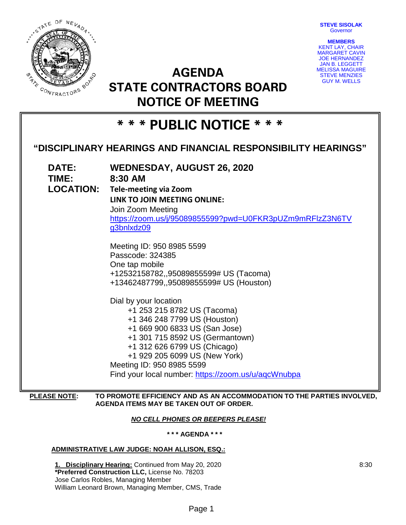**STEVE SISOLAK Governor** 



**AGENDA STATE CONTRACTORS BOARD NOTICE OF MEETING**



# **\* \* \* PUBLIC NOTICE \* \* \* "DISCIPLINARY HEARINGS AND FINANCIAL RESPONSIBILITY HEARINGS" DATE: WEDNESDAY, AUGUST 26, 2020 TIME: 8:30 AM LOCATION: Tele-meeting via Zoom LINK TO JOIN MEETING ONLINE:** Join Zoom Meeting [https://zoom.us/j/95089855599?pwd=U0FKR3pUZm9mRFlzZ3N6TV](https://zoom.us/j/95089855599?pwd=U0FKR3pUZm9mRFlzZ3N6TVg3bnlxdz09) [g3bnlxdz09](https://zoom.us/j/95089855599?pwd=U0FKR3pUZm9mRFlzZ3N6TVg3bnlxdz09) Meeting ID: 950 8985 5599 Passcode: 324385 One tap mobile +12532158782,,95089855599# US (Tacoma) +13462487799,,95089855599# US (Houston) Dial by your location +1 253 215 8782 US (Tacoma) +1 346 248 7799 US (Houston) +1 669 900 6833 US (San Jose) +1 301 715 8592 US (Germantown) +1 312 626 6799 US (Chicago) +1 929 205 6099 US (New York) Meeting ID: 950 8985 5599 Find your local number:<https://zoom.us/u/aqcWnubpa>

## **PLEASE NOTE: TO PROMOTE EFFICIENCY AND AS AN ACCOMMODATION TO THE PARTIES INVOLVED, AGENDA ITEMS MAY BE TAKEN OUT OF ORDER.**

# *NO CELL PHONES OR BEEPERS PLEASE!*

**\* \* \* AGENDA \* \* \***

# **ADMINISTRATIVE LAW JUDGE: NOAH ALLISON, ESQ.:**

**1. Disciplinary Hearing:** Continued from May 20, 2020 **\*Preferred Construction LLC,** License No. 78203 Jose Carlos Robles, Managing Member William Leonard Brown, Managing Member, CMS, Trade 8:30